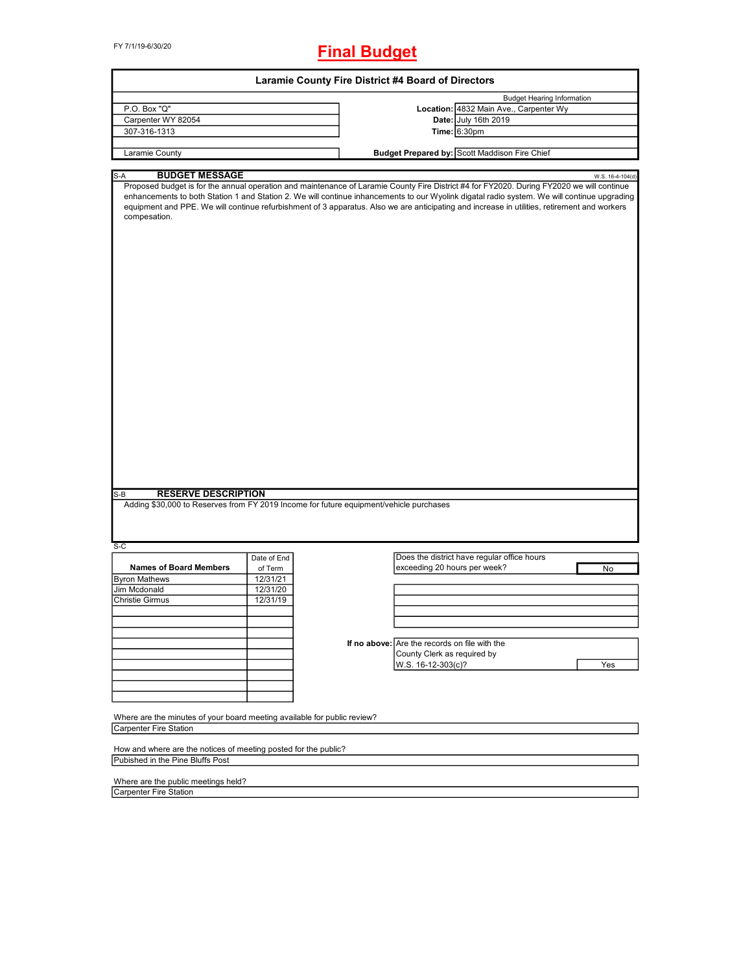FY 7/1/19-6/30/20

# **Final Budget**

| Laramie County Fire District #4 Board of Directors                                                                            |                     |  |                                                                                                                                                                                                                                                                                                                                                                                                                                          |                                   |  |  |
|-------------------------------------------------------------------------------------------------------------------------------|---------------------|--|------------------------------------------------------------------------------------------------------------------------------------------------------------------------------------------------------------------------------------------------------------------------------------------------------------------------------------------------------------------------------------------------------------------------------------------|-----------------------------------|--|--|
|                                                                                                                               |                     |  |                                                                                                                                                                                                                                                                                                                                                                                                                                          | <b>Budget Hearing Information</b> |  |  |
| P.O. Box "Q"                                                                                                                  |                     |  | Location: 4832 Main Ave., Carpenter Wy                                                                                                                                                                                                                                                                                                                                                                                                   |                                   |  |  |
| Carpenter WY 82054                                                                                                            |                     |  | Date: July 16th 2019                                                                                                                                                                                                                                                                                                                                                                                                                     |                                   |  |  |
| 307-316-1313                                                                                                                  |                     |  | Time: 6:30pm                                                                                                                                                                                                                                                                                                                                                                                                                             |                                   |  |  |
|                                                                                                                               |                     |  |                                                                                                                                                                                                                                                                                                                                                                                                                                          |                                   |  |  |
| Laramie County                                                                                                                |                     |  | Budget Prepared by: Scott Maddison Fire Chief                                                                                                                                                                                                                                                                                                                                                                                            |                                   |  |  |
| <b>BUDGET MESSAGE</b>                                                                                                         |                     |  |                                                                                                                                                                                                                                                                                                                                                                                                                                          |                                   |  |  |
| S-A<br>compesation.                                                                                                           |                     |  | Proposed budget is for the annual operation and maintenance of Laramie County Fire District #4 for FY2020. During FY2020 we will continue<br>enhancements to both Station 1 and Station 2. We will continue inhancements to our Wyolink digatal radio system. We will continue upgrading<br>equipment and PPE. We will continue refurbishment of 3 apparatus. Also we are anticipating and increase in utilities, retirement and workers | W.S. 16-4-104(d)                  |  |  |
|                                                                                                                               |                     |  |                                                                                                                                                                                                                                                                                                                                                                                                                                          |                                   |  |  |
| <b>RESERVE DESCRIPTION</b><br>$S-B$<br>Adding \$30,000 to Reserves from FY 2019 Income for future equipment/vehicle purchases |                     |  |                                                                                                                                                                                                                                                                                                                                                                                                                                          |                                   |  |  |
| S-C                                                                                                                           |                     |  | Does the district have regular office hours                                                                                                                                                                                                                                                                                                                                                                                              |                                   |  |  |
| <b>Names of Board Members</b>                                                                                                 | Date of End         |  | exceeding 20 hours per week?                                                                                                                                                                                                                                                                                                                                                                                                             | No                                |  |  |
| <b>Byron Mathews</b>                                                                                                          | of Term<br>12/31/21 |  |                                                                                                                                                                                                                                                                                                                                                                                                                                          |                                   |  |  |
| Jim Mcdonald                                                                                                                  | 12/31/20            |  |                                                                                                                                                                                                                                                                                                                                                                                                                                          |                                   |  |  |
| Christie Girmus                                                                                                               | 12/31/19            |  |                                                                                                                                                                                                                                                                                                                                                                                                                                          |                                   |  |  |
|                                                                                                                               |                     |  |                                                                                                                                                                                                                                                                                                                                                                                                                                          |                                   |  |  |
|                                                                                                                               |                     |  |                                                                                                                                                                                                                                                                                                                                                                                                                                          |                                   |  |  |
|                                                                                                                               |                     |  |                                                                                                                                                                                                                                                                                                                                                                                                                                          |                                   |  |  |
|                                                                                                                               |                     |  | If no above: Are the records on file with the                                                                                                                                                                                                                                                                                                                                                                                            |                                   |  |  |
|                                                                                                                               |                     |  | County Clerk as required by                                                                                                                                                                                                                                                                                                                                                                                                              |                                   |  |  |
|                                                                                                                               |                     |  | W.S. 16-12-303(c)?                                                                                                                                                                                                                                                                                                                                                                                                                       | Yes                               |  |  |
|                                                                                                                               |                     |  |                                                                                                                                                                                                                                                                                                                                                                                                                                          |                                   |  |  |
|                                                                                                                               |                     |  |                                                                                                                                                                                                                                                                                                                                                                                                                                          |                                   |  |  |
|                                                                                                                               |                     |  |                                                                                                                                                                                                                                                                                                                                                                                                                                          |                                   |  |  |
| Where are the minutes of your board meeting available for public review?                                                      |                     |  |                                                                                                                                                                                                                                                                                                                                                                                                                                          |                                   |  |  |
| Carpenter Fire Station                                                                                                        |                     |  |                                                                                                                                                                                                                                                                                                                                                                                                                                          |                                   |  |  |
|                                                                                                                               |                     |  |                                                                                                                                                                                                                                                                                                                                                                                                                                          |                                   |  |  |
| How and where are the notices of meeting posted for the public?                                                               |                     |  |                                                                                                                                                                                                                                                                                                                                                                                                                                          |                                   |  |  |
| Pubished in the Pine Bluffs Post                                                                                              |                     |  |                                                                                                                                                                                                                                                                                                                                                                                                                                          |                                   |  |  |

Where are the public meetings held?

Carpenter Fire Station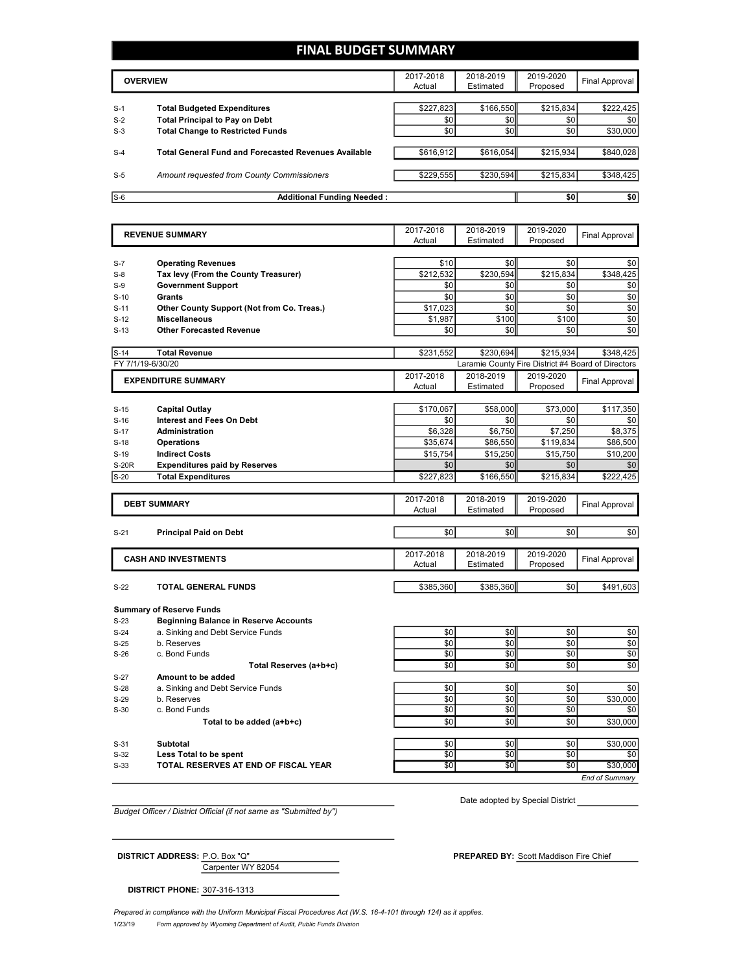## **FINAL BUDGET SUMMARY**

|       | <b>OVERVIEW</b>                                                             | 2017-2018<br>Actual | 2018-2019<br>Estimated | 2019-2020<br>Proposed | Final Approval |
|-------|-----------------------------------------------------------------------------|---------------------|------------------------|-----------------------|----------------|
| $S-1$ |                                                                             | \$227,823           | \$166,550              | \$215,834             | \$222,425      |
| $S-2$ | <b>Total Budgeted Expenditures</b><br><b>Total Principal to Pay on Debt</b> | \$0                 | \$0                    | \$0                   | \$0            |
| $S-3$ | <b>Total Change to Restricted Funds</b>                                     | \$0                 | \$0                    | \$0                   | \$30,000       |
| $S-4$ | <b>Total General Fund and Forecasted Revenues Available</b>                 | \$616,912           | \$616,054              | \$215,934             | \$840,028      |
| $S-5$ | Amount requested from County Commissioners                                  | \$229,555           | \$230,594              | \$215.834             | \$348,425      |
| $S-6$ | <b>Additional Funding Needed:</b>                                           |                     |                        | \$0                   | \$0            |

| <b>REVENUE SUMMARY</b> |                                              | 2017-2018           | 2018-2019              | 2019-2020             | <b>Final Approval</b>                              |
|------------------------|----------------------------------------------|---------------------|------------------------|-----------------------|----------------------------------------------------|
|                        |                                              | Actual              | Estimated              | Proposed              |                                                    |
|                        |                                              |                     |                        |                       |                                                    |
| $S-7$                  | <b>Operating Revenues</b>                    | \$10                | \$0                    | \$0                   | \$0                                                |
| $S-8$                  | Tax levy (From the County Treasurer)         | \$212,532<br>\$0    | \$230,594<br>\$0       | \$215,834<br>\$0      | \$348,425                                          |
| $S-9$                  | <b>Government Support</b>                    |                     |                        |                       | \$0                                                |
| $S-10$                 | <b>Grants</b>                                | \$0                 | \$0                    | \$0                   | \$0                                                |
| $S-11$                 | Other County Support (Not from Co. Treas.)   | \$17,023            | \$0                    | \$0                   | \$0                                                |
| $S-12$                 | <b>Miscellaneous</b>                         | \$1,987             | \$100                  | \$100                 | \$0                                                |
| $S-13$                 | <b>Other Forecasted Revenue</b>              | \$0                 | \$0                    | \$0                   | \$0                                                |
| $S-14$                 | <b>Total Revenue</b>                         | \$231,552           | \$230,694              | \$215,934             | \$348,425                                          |
|                        | FY 7/1/19-6/30/20                            |                     |                        |                       | Laramie County Fire District #4 Board of Directors |
|                        | <b>EXPENDITURE SUMMARY</b>                   | 2017-2018           | 2018-2019              | 2019-2020             |                                                    |
|                        |                                              | Actual              | Estimated              | Proposed              | <b>Final Approval</b>                              |
|                        |                                              |                     |                        |                       |                                                    |
| $S-15$                 | <b>Capital Outlay</b>                        | \$170,067           | \$58,000               | \$73,000              | \$117,350                                          |
| $S-16$                 | <b>Interest and Fees On Debt</b>             | \$0                 | \$0                    | \$0                   | \$0                                                |
| $S-17$                 | <b>Administration</b>                        | \$6,328             | \$6,750                | \$7,250               | \$8,375                                            |
| $S-18$                 | <b>Operations</b>                            | \$35,674            | \$86,550               | \$119,834             | \$86,500                                           |
| $S-19$                 | <b>Indirect Costs</b>                        | \$15.754            | \$15,250               | \$15,750              | \$10,200                                           |
| <b>S-20R</b>           | <b>Expenditures paid by Reserves</b>         | \$0                 | \$0                    | \$0                   | \$0                                                |
| $S-20$                 | <b>Total Expenditures</b>                    | \$227,823           | \$166,550              | \$215,834             | \$222,425                                          |
|                        |                                              |                     |                        |                       |                                                    |
|                        | <b>DEBT SUMMARY</b>                          | 2017-2018<br>Actual | 2018-2019<br>Estimated | 2019-2020<br>Proposed | <b>Final Approval</b>                              |
|                        |                                              |                     |                        |                       |                                                    |
| $S-21$                 | <b>Principal Paid on Debt</b>                | \$0                 | \$0                    | \$0                   | \$0                                                |
|                        |                                              |                     |                        |                       |                                                    |
|                        | <b>CASH AND INVESTMENTS</b>                  | 2017-2018           | 2018-2019              | 2019-2020             |                                                    |
|                        |                                              | Actual              | Estimated              | Proposed              | <b>Final Approval</b>                              |
|                        |                                              |                     |                        |                       |                                                    |
| $S-22$                 | <b>TOTAL GENERAL FUNDS</b>                   | \$385,360           | \$385,360              | \$0                   | \$491,603                                          |
|                        | <b>Summary of Reserve Funds</b>              |                     |                        |                       |                                                    |
| $S-23$                 | <b>Beginning Balance in Reserve Accounts</b> |                     |                        |                       |                                                    |
| $S-24$                 | a. Sinking and Debt Service Funds            | \$0                 | \$0                    | \$0                   | \$0                                                |
| $S-25$                 | b. Reserves                                  | \$0                 | \$0                    | \$0                   | \$0                                                |
| $S-26$                 | c. Bond Funds                                | \$0                 | \$0                    | \$0                   | \$0                                                |
|                        | Total Reserves (a+b+c)                       | \$0                 | \$0                    | \$0                   | \$0                                                |
| $S-27$                 | Amount to be added                           |                     |                        |                       |                                                    |
| $S-28$                 | a. Sinking and Debt Service Funds            | \$0                 | \$0                    | \$0                   | \$0                                                |
| $S-29$                 | b. Reserves                                  | \$0                 | \$0                    | \$0                   | \$30,000                                           |
| $S-30$                 | c. Bond Funds                                | \$0                 | \$0                    | \$0                   | \$0                                                |
|                        | Total to be added (a+b+c)                    | \$0                 | \$0                    | \$0                   | \$30,000                                           |
|                        |                                              |                     |                        |                       |                                                    |
| $S-31$                 | <b>Subtotal</b>                              | \$0                 | \$0                    | \$0                   | \$30,000                                           |
| $S-32$                 | Less Total to be spent                       | \$0                 | \$0                    | \$0                   | \$0                                                |
| $S-33$                 | TOTAL RESERVES AT END OF FISCAL YEAR         | \$0                 | $\overline{50}$        | \$0                   | \$30,000                                           |
|                        |                                              |                     |                        |                       | End of Summarv                                     |

*Budget Officer / District Official (if not same as "Submitted by")*

Date adopted by Special District

Carpenter WY 82054 **DISTRICT ADDRESS:** P.O. Box "Q" **PREPARED BY:** Scott Maddison Fire Chief

**DISTRICT PHONE:** 307-316-1313

1/23/19 *Form approved by Wyoming Department of Audit, Public Funds Division Prepared in compliance with the Uniform Municipal Fiscal Procedures Act (W.S. 16-4-101 through 124) as it applies.*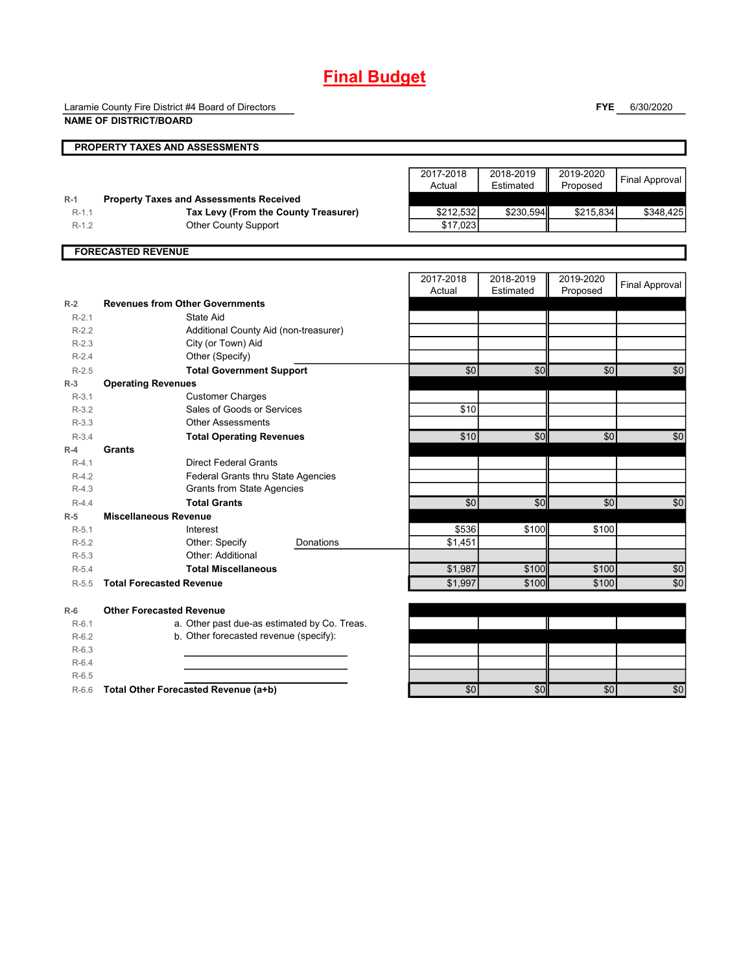# **Final Budget**

Laramie County Fire District #4 Board of Directors

**FYE** 6/30/2020

|                    | <b>NAME OF DISTRICT/BOARD</b>                                       |           |                       |                        |                       |                       |
|--------------------|---------------------------------------------------------------------|-----------|-----------------------|------------------------|-----------------------|-----------------------|
|                    | PROPERTY TAXES AND ASSESSMENTS                                      |           |                       |                        |                       |                       |
|                    |                                                                     |           | 2017-2018<br>Actual   | 2018-2019<br>Estimated | 2019-2020<br>Proposed | <b>Final Approval</b> |
| $R-1$              | <b>Property Taxes and Assessments Received</b>                      |           |                       |                        |                       |                       |
| $R-1.1$<br>$R-1.2$ | Tax Levy (From the County Treasurer)<br><b>Other County Support</b> |           | \$212,532<br>\$17,023 | \$230,594              | \$215,834             | \$348,425             |
|                    |                                                                     |           |                       |                        |                       |                       |
|                    | <b>FORECASTED REVENUE</b>                                           |           |                       |                        |                       |                       |
|                    |                                                                     |           | 2017-2018<br>Actual   | 2018-2019<br>Estimated | 2019-2020<br>Proposed | <b>Final Approval</b> |
| $R-2$              | <b>Revenues from Other Governments</b>                              |           |                       |                        |                       |                       |
| $R-2.1$            | State Aid                                                           |           |                       |                        |                       |                       |
| $R-2.2$            | Additional County Aid (non-treasurer)                               |           |                       |                        |                       |                       |
| $R-2.3$            | City (or Town) Aid                                                  |           |                       |                        |                       |                       |
| $R-2.4$            | Other (Specify)                                                     |           |                       |                        |                       |                       |
| $R-2.5$<br>$R-3$   | <b>Total Government Support</b>                                     |           | \$0                   | \$0                    | \$0                   | \$0                   |
| $R-3.1$            | <b>Operating Revenues</b><br><b>Customer Charges</b>                |           |                       |                        |                       |                       |
| $R-3.2$            | Sales of Goods or Services                                          |           | \$10                  |                        |                       |                       |
| $R-3.3$            | <b>Other Assessments</b>                                            |           |                       |                        |                       |                       |
| $R-3.4$            | <b>Total Operating Revenues</b>                                     |           | \$10                  | \$0                    | \$0                   | \$0                   |
| $R-4$              | Grants                                                              |           |                       |                        |                       |                       |
| $R-4.1$            | <b>Direct Federal Grants</b>                                        |           |                       |                        |                       |                       |
| $R-4.2$            | Federal Grants thru State Agencies                                  |           |                       |                        |                       |                       |
| $R-4.3$            | <b>Grants from State Agencies</b>                                   |           |                       |                        |                       |                       |
| $R-4.4$            | <b>Total Grants</b>                                                 |           | \$0                   | \$0                    | \$0                   | \$0                   |
| $R-5$              | <b>Miscellaneous Revenue</b>                                        |           |                       |                        |                       |                       |
| $R-5.1$            | Interest                                                            |           | \$536                 | \$100                  | \$100                 |                       |
| $R-5.2$            | Other: Specify<br>Other: Additional                                 | Donations | \$1,451               |                        |                       |                       |
| $R-5.3$<br>$R-5.4$ | <b>Total Miscellaneous</b>                                          |           | \$1,987               | \$100                  | \$100                 |                       |
| $R-5.5$            | <b>Total Forecasted Revenue</b>                                     |           | \$1,997               | \$100                  | \$100                 | \$0<br>\$0            |
|                    |                                                                     |           |                       |                        |                       |                       |
| $R-6$              | <b>Other Forecasted Revenue</b>                                     |           |                       |                        |                       |                       |
| $R-6.1$            | a. Other past due-as estimated by Co. Treas.                        |           |                       |                        |                       |                       |
| $R-6.2$            | b. Other forecasted revenue (specify):                              |           |                       |                        |                       |                       |
| $R-6.3$            |                                                                     |           |                       |                        |                       |                       |
| $R-6.4$            |                                                                     |           |                       |                        |                       |                       |
| $R-6.5$            |                                                                     |           |                       |                        |                       |                       |
| $R-6.6$            | Total Other Forecasted Revenue (a+b)                                |           | \$0                   | \$0                    | \$0                   | \$0                   |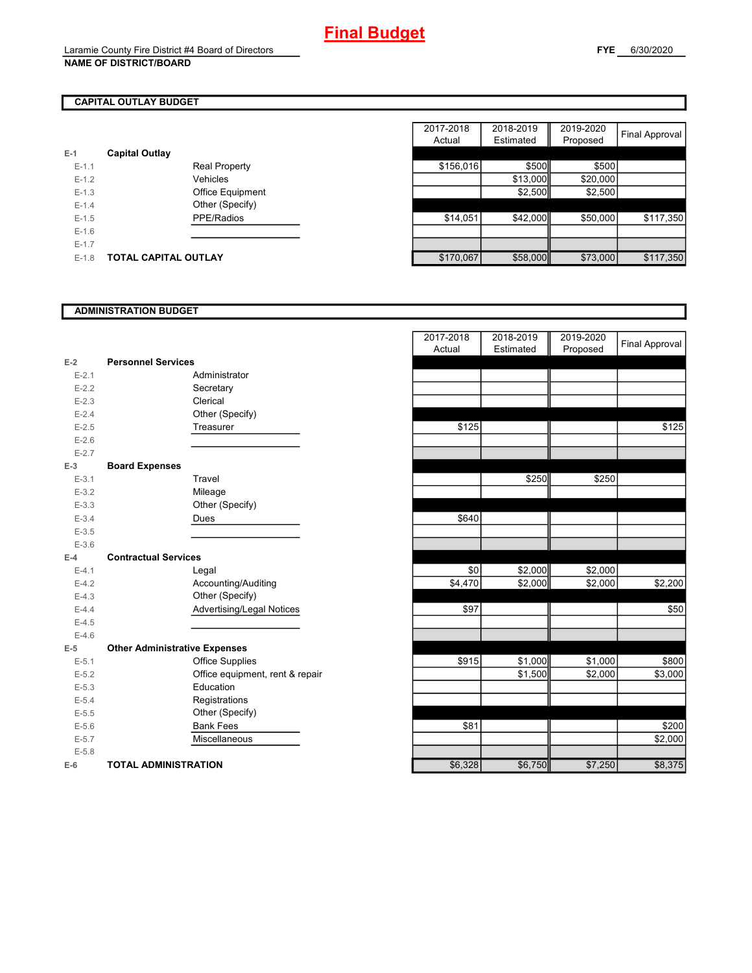# **CAPITAL OUTLAY BUDGET**

| E-1       | <b>Capital Outlay</b> |                         |
|-----------|-----------------------|-------------------------|
| $F-1$ 1   |                       | <b>Real Property</b>    |
| $F-12$    |                       | Vehicles                |
| $F-1.3$   |                       | <b>Office Equipment</b> |
| $F-14$    |                       | Other (Specify)         |
| $F-1.5$   |                       | PPE/Radios              |
| $F-16$    |                       |                         |
| $E - 1.7$ |                       |                         |
| $E-1.8$   | TOTAL CAPITAL OUTLAY  |                         |

|         |                       |                      | 2017-2018 | 2018-2019 | 2019-2020 |                       |
|---------|-----------------------|----------------------|-----------|-----------|-----------|-----------------------|
|         |                       |                      | Actual    | Estimated | Proposed  | <b>Final Approval</b> |
|         | <b>Capital Outlay</b> |                      |           |           |           |                       |
| $E-1.1$ |                       | <b>Real Property</b> | \$156,016 | \$500     | \$500     |                       |
| $E-1.2$ |                       | Vehicles             |           | \$13,000  | \$20,000  |                       |
| $E-1.3$ |                       | Office Equipment     |           | \$2,500   | \$2,500   |                       |
| $E-1.4$ |                       | Other (Specify)      |           |           |           |                       |
| $E-1.5$ |                       | PPE/Radios           | \$14,051  | \$42,000  | \$50,000  | \$117,350             |
| $E-1.6$ |                       |                      |           |           |           |                       |
| $E-1.7$ |                       |                      |           |           |           |                       |
| $E-1.8$ | TOTAL CAPITAL OUTLAY  |                      | \$170,067 | \$58,000  | \$73,000  | \$117,350             |

#### **ADMINISTRATION BUDGET**

|           |                                      |                                 | Actual  | Estimated | Proposed |
|-----------|--------------------------------------|---------------------------------|---------|-----------|----------|
| $E-2$     | <b>Personnel Services</b>            |                                 |         |           |          |
| $E - 2.1$ |                                      | Administrator                   |         |           |          |
| $E-2.2$   |                                      | Secretary                       |         |           |          |
| $E-2.3$   |                                      | Clerical                        |         |           |          |
| $E - 2.4$ |                                      | Other (Specify)                 |         |           |          |
| $E - 2.5$ |                                      | Treasurer                       | \$125   |           |          |
| $E - 2.6$ |                                      |                                 |         |           |          |
| $E - 2.7$ |                                      |                                 |         |           |          |
| $E-3$     | <b>Board Expenses</b>                |                                 |         |           |          |
| $E - 3.1$ |                                      | Travel                          |         | \$250     | \$250    |
| $E - 3.2$ |                                      | Mileage                         |         |           |          |
| $E - 3.3$ |                                      | Other (Specify)                 |         |           |          |
| $E - 3.4$ |                                      | Dues                            | \$640   |           |          |
| $E - 3.5$ |                                      |                                 |         |           |          |
| $E - 3.6$ |                                      |                                 |         |           |          |
| $E-4$     | <b>Contractual Services</b>          |                                 |         |           |          |
| $E - 4.1$ |                                      | Legal                           | \$0     | \$2,000   | \$2,000  |
| $E-4.2$   |                                      | Accounting/Auditing             | \$4,470 | \$2,000   | \$2,000  |
| $E-4.3$   |                                      | Other (Specify)                 |         |           |          |
| $E-4.4$   |                                      | Advertising/Legal Notices       | \$97    |           |          |
| $E-4.5$   |                                      |                                 |         |           |          |
| $E-4.6$   |                                      |                                 |         |           |          |
| $E-5$     | <b>Other Administrative Expenses</b> |                                 |         |           |          |
| $E - 5.1$ |                                      | <b>Office Supplies</b>          | \$915   | \$1,000   | \$1,000  |
| $E - 5.2$ |                                      | Office equipment, rent & repair |         | \$1,500   | \$2,000  |
| $E-5.3$   |                                      | Education                       |         |           |          |
| $E - 5.4$ |                                      | Registrations                   |         |           |          |
| $E-5.5$   |                                      | Other (Specify)                 |         |           |          |
| $E - 5.6$ |                                      | <b>Bank Fees</b>                | \$81    |           |          |
| $E - 5.7$ |                                      | Miscellaneous                   |         |           |          |
| $E - 5.8$ |                                      |                                 |         |           |          |
| $E-6$     | <b>TOTAL ADMINISTRATION</b>          |                                 | \$6,328 | \$6,750   | \$7,250  |

|                          |                                      | 2017-2018<br>Actual | 2018-2019<br>Estimated | 2019-2020<br>Proposed | <b>Final Approval</b> |
|--------------------------|--------------------------------------|---------------------|------------------------|-----------------------|-----------------------|
| 2                        | <b>Personnel Services</b>            |                     |                        |                       |                       |
| $E - 2.1$                | Administrator                        |                     |                        |                       |                       |
| $E - 2.2$                | Secretary                            |                     |                        |                       |                       |
| $E - 2.3$                | Clerical                             |                     |                        |                       |                       |
| $E - 2.4$                | Other (Specify)                      |                     |                        |                       |                       |
| $E - 2.5$                | Treasurer                            | \$125               |                        |                       | \$125                 |
| $E - 2.6$                |                                      |                     |                        |                       |                       |
| $E - 2.7$                |                                      |                     |                        |                       |                       |
| $\overline{\phantom{0}}$ | <b>Board Expenses</b>                |                     |                        |                       |                       |
| $E - 3.1$                | Travel                               |                     | \$250                  | \$250                 |                       |
| $E - 3.2$                | Mileage                              |                     |                        |                       |                       |
| $E - 3.3$                | Other (Specify)                      |                     |                        |                       |                       |
| $E - 3.4$                | Dues                                 | \$640               |                        |                       |                       |
| $E-3.5$                  |                                      |                     |                        |                       |                       |
| $E - 3.6$                |                                      |                     |                        |                       |                       |
| ı.                       | <b>Contractual Services</b>          |                     |                        |                       |                       |
| $E - 4.1$                | Legal                                | $\sqrt{6}$          | \$2,000                | \$2,000               |                       |
| $E-4.2$                  | Accounting/Auditing                  | \$4,470             | \$2,000                | \$2,000               | \$2,200               |
| $E - 4.3$                | Other (Specify)                      |                     |                        |                       |                       |
| $E - 4.4$                | Advertising/Legal Notices            | \$97                |                        |                       | \$50                  |
| $E-4.5$                  |                                      |                     |                        |                       |                       |
| $E - 4.6$                |                                      |                     |                        |                       |                       |
| 5                        | <b>Other Administrative Expenses</b> |                     |                        |                       |                       |
| $E - 5.1$                | <b>Office Supplies</b>               | \$915               | \$1,000                | \$1,000               | \$800                 |
| $E - 5.2$                | Office equipment, rent & repair      |                     | \$1,500                | \$2,000               | \$3,000               |
| $E - 5.3$                | Education                            |                     |                        |                       |                       |
| $E - 5.4$                | Registrations                        |                     |                        |                       |                       |
| $E - 5.5$                | Other (Specify)                      |                     |                        |                       |                       |
| $E - 5.6$                | <b>Bank Fees</b>                     | \$81                |                        |                       | \$200                 |
| $E - 5.7$                | Miscellaneous                        |                     |                        |                       | \$2,000               |
| $E - 5.8$                |                                      |                     |                        |                       |                       |
| ŝ                        | <b>TOTAL ADMINISTRATION</b>          | \$6,328             | \$6,750                | \$7,250               | \$8,375               |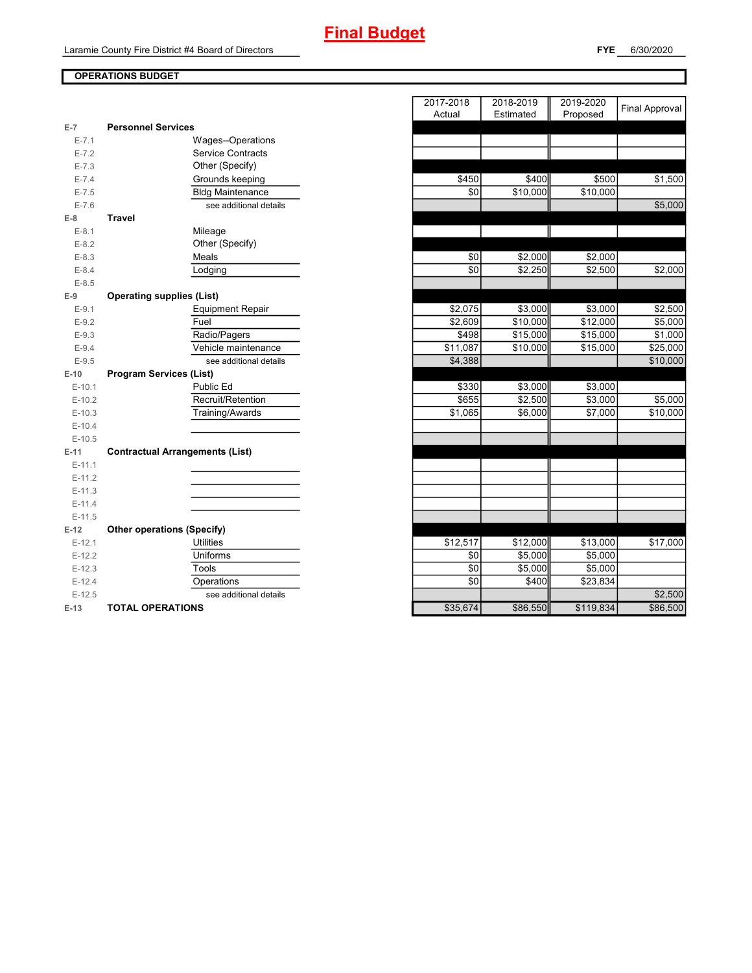**FYE** 6/30/2020

## **OPERATIONS BUDGET**

| $E-7$     | <b>Personnel Services</b>              |          |          |           |
|-----------|----------------------------------------|----------|----------|-----------|
| $E - 7.1$ | Wages--Operations                      |          |          |           |
| $E - 7.2$ | <b>Service Contracts</b>               |          |          |           |
| $E - 7.3$ | Other (Specify)                        |          |          |           |
| $E - 7.4$ | Grounds keeping                        | \$450    | \$400    | \$500     |
| $E - 7.5$ | <b>Bldg Maintenance</b>                | \$0      | \$10,000 | \$10,000  |
| $E - 7.6$ | see additional details                 |          |          |           |
| $E-8$     | <b>Travel</b>                          |          |          |           |
| $E-8.1$   | Mileage                                |          |          |           |
| $E-8.2$   | Other (Specify)                        |          |          |           |
| $E - 8.3$ | Meals                                  | \$0      | \$2,000  | \$2,000   |
| $E - 8.4$ | Lodging                                | \$0      | \$2,250  | \$2,500   |
| $E - 8.5$ |                                        |          |          |           |
| $E-9$     | <b>Operating supplies (List)</b>       |          |          |           |
| $E-9.1$   | <b>Equipment Repair</b>                | \$2,075  | \$3,000  | \$3,000   |
| $E-9.2$   | Fuel                                   | \$2,609  | \$10,000 | \$12,000  |
| $E - 9.3$ | Radio/Pagers                           | \$498    | \$15,000 | \$15,000  |
| $E-9.4$   | Vehicle maintenance                    | \$11,087 | \$10,000 | \$15,000  |
| $E - 9.5$ | see additional details                 | \$4,388  |          |           |
| $E-10$    | <b>Program Services (List)</b>         |          |          |           |
| $E-10.1$  | Public Ed                              | \$330    | \$3,000  | \$3,000   |
| $E-10.2$  | Recruit/Retention                      | \$655    | \$2,500  | \$3,000   |
| $E-10.3$  | Training/Awards                        | \$1,065  | \$6,000  | \$7,000   |
| $E-10.4$  |                                        |          |          |           |
| $E-10.5$  |                                        |          |          |           |
| $E-11$    | <b>Contractual Arrangements (List)</b> |          |          |           |
| $E-11.1$  |                                        |          |          |           |
| $E-11.2$  |                                        |          |          |           |
| $E-11.3$  |                                        |          |          |           |
| $E-11.4$  |                                        |          |          |           |
| $E-11.5$  |                                        |          |          |           |
| $E-12$    | <b>Other operations (Specify)</b>      |          |          |           |
| $E-12.1$  | <b>Utilities</b>                       | \$12,517 | \$12,000 | \$13,000  |
| $E-12.2$  | Uniforms                               | \$0      | \$5,000  | \$5,000   |
| $E-12.3$  | Tools                                  | \$0      | \$5,000  | \$5,000   |
| $E-12.4$  | Operations                             | \$0      | \$400    | \$23,834  |
| $E-12.5$  | see additional details                 |          |          |           |
| $E-13$    | <b>TOTAL OPERATIONS</b>                | \$35,674 | \$86,550 | \$119,834 |

|           |                                        | 2017-2018<br>Actual | 2018-2019<br>Estimated | 2019-2020<br>Proposed | <b>Final Approval</b> |
|-----------|----------------------------------------|---------------------|------------------------|-----------------------|-----------------------|
| $E-7$     | <b>Personnel Services</b>              |                     |                        |                       |                       |
| $E - 7.1$ | Wages--Operations                      |                     |                        |                       |                       |
| $E - 7.2$ | <b>Service Contracts</b>               |                     |                        |                       |                       |
| $E - 7.3$ | Other (Specify)                        |                     |                        |                       |                       |
| $E - 7.4$ | Grounds keeping                        | \$450               | \$400                  | \$500                 | \$1,500               |
| $E - 7.5$ | <b>Bldg Maintenance</b>                | \$0                 | \$10,000               | \$10,000              |                       |
| $E - 7.6$ | see additional details                 |                     |                        |                       | \$5,000               |
| $E-8$     | <b>Travel</b>                          |                     |                        |                       |                       |
| $E-8.1$   | Mileage                                |                     |                        |                       |                       |
| $E-8.2$   | Other (Specify)                        |                     |                        |                       |                       |
| $E - 8.3$ | Meals                                  | \$0                 | \$2,000                | \$2,000               |                       |
| $E-8.4$   | Lodging                                | \$0                 | \$2,250                | \$2,500               | \$2,000               |
| $E-8.5$   |                                        |                     |                        |                       |                       |
| E-9       | <b>Operating supplies (List)</b>       |                     |                        |                       |                       |
| $E-9.1$   | <b>Equipment Repair</b>                | \$2,075             | \$3,000                | \$3,000               | \$2,500               |
| $E-9.2$   | Fuel                                   | \$2,609             | \$10,000               | \$12,000              | \$5,000               |
| $E - 9.3$ | Radio/Pagers                           | \$498               | \$15,000               | \$15,000              | \$1,000               |
| $E - 9.4$ | Vehicle maintenance                    | \$11,087            | \$10,000               | \$15,000              | \$25,000              |
| $E-9.5$   | see additional details                 | \$4,388             |                        |                       | \$10,000              |
| E-10      | <b>Program Services (List)</b>         |                     |                        |                       |                       |
| $E-10.1$  | Public Ed                              | \$330               | \$3,000                | \$3,000               |                       |
| $E-10.2$  | Recruit/Retention                      | \$655               | \$2,500                | \$3,000               | \$5,000               |
| $E-10.3$  | Training/Awards                        | \$1,065             | \$6,000                | \$7,000               | \$10,000              |
| $E-10.4$  |                                        |                     |                        |                       |                       |
| $E-10.5$  |                                        |                     |                        |                       |                       |
| $E-11$    | <b>Contractual Arrangements (List)</b> |                     |                        |                       |                       |
| $E-11.1$  |                                        |                     |                        |                       |                       |
| $E-11.2$  |                                        |                     |                        |                       |                       |
| $E-11.3$  |                                        |                     |                        |                       |                       |
| $E-11.4$  |                                        |                     |                        |                       |                       |
| $E-11.5$  |                                        |                     |                        |                       |                       |
| $E-12$    | <b>Other operations (Specify)</b>      |                     |                        |                       |                       |
| $E-12.1$  | <b>Utilities</b>                       | \$12,517            | \$12,000               | \$13,000              | \$17,000              |
| $E-12.2$  | Uniforms                               | \$0                 | \$5,000                | \$5,000               |                       |
| $E-12.3$  | Tools                                  | \$0                 | \$5,000                | \$5,000               |                       |
| $E-12.4$  | Operations                             | \$0                 | \$400                  | \$23,834              |                       |
| $E-12.5$  | see additional details                 |                     |                        |                       | \$2,500               |
| E-13      | <b>TOTAL OPERATIONS</b>                | \$35,674            | \$86,550               | \$119,834             | \$86,500              |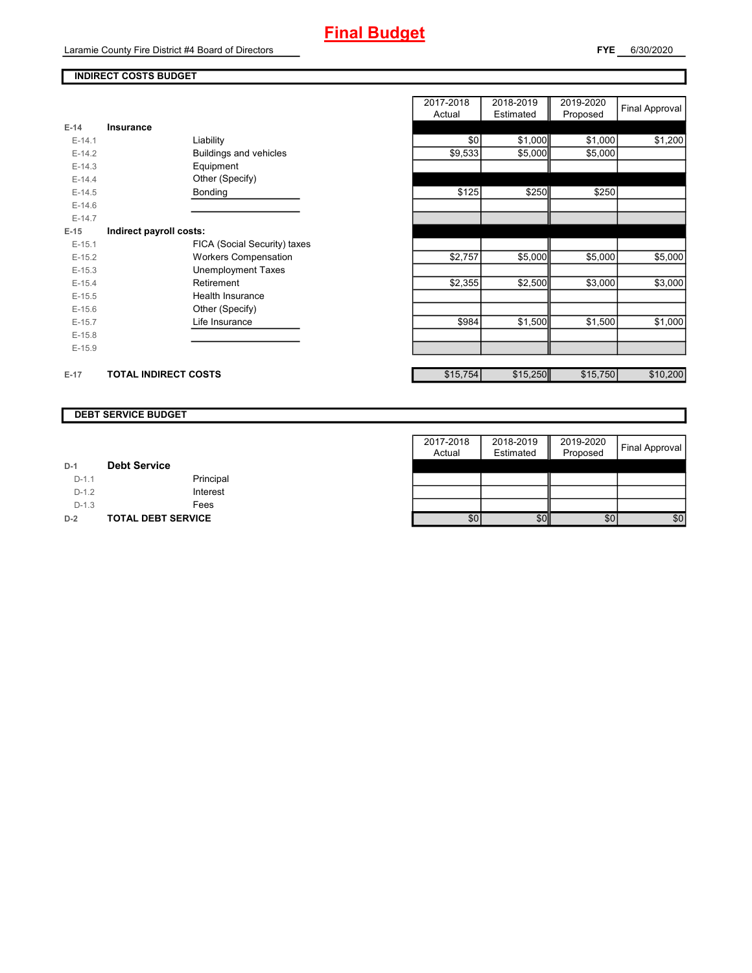Laramie County Fire District #4 Board of Directors

## **INDIRECT COSTS BUDGET**

|          |                              | $\cdots$ | --------- | . 1      |
|----------|------------------------------|----------|-----------|----------|
| $E-14$   | Insurance                    |          |           |          |
| $E-14.1$ | Liability                    | \$0      | \$1,000   | \$1,000  |
| $E-14.2$ | Buildings and vehicles       | \$9,533  | \$5,000   | \$5,000  |
| $E-14.3$ | Equipment                    |          |           |          |
| $E-14.4$ | Other (Specify)              |          |           |          |
| $E-14.5$ | <b>Bonding</b>               | \$125    | \$250     | \$250    |
| $E-14.6$ |                              |          |           |          |
| $E-14.7$ |                              |          |           |          |
| $E-15$   | Indirect payroll costs:      |          |           |          |
| $E-15.1$ | FICA (Social Security) taxes |          |           |          |
| $E-15.2$ | <b>Workers Compensation</b>  | \$2,757  | \$5,000   | \$5,000  |
| $E-15.3$ | <b>Unemployment Taxes</b>    |          |           |          |
| $E-15.4$ | Retirement                   | \$2,355  | \$2,500   | \$3,000  |
| $E-15.5$ | Health Insurance             |          |           |          |
| $E-15.6$ | Other (Specify)              |          |           |          |
| $E-15.7$ | Life Insurance               | \$984    | \$1,500   | \$1,500  |
| $E-15.8$ |                              |          |           |          |
| $E-15.9$ |                              |          |           |          |
| $E-17$   | <b>TOTAL INDIRECT COSTS</b>  | \$15,754 | \$15,250  | \$15,750 |

|          |                              | 2017-2018<br>Actual | 2018-2019<br>Estimated | 2019-2020<br>Proposed | Final Approval |
|----------|------------------------------|---------------------|------------------------|-----------------------|----------------|
| 14       | <b>Insurance</b>             |                     |                        |                       |                |
| $E-14.1$ | Liability                    | \$0                 | \$1,000                | \$1,000               | \$1,200        |
| $E-14.2$ | Buildings and vehicles       | \$9,533             | \$5,000                | \$5,000               |                |
| $E-14.3$ | Equipment                    |                     |                        |                       |                |
| $E-14.4$ | Other (Specify)              |                     |                        |                       |                |
| $E-14.5$ | <b>Bonding</b>               | \$125               | \$250                  | \$250                 |                |
| $E-14.6$ |                              |                     |                        |                       |                |
| $E-14.7$ |                              |                     |                        |                       |                |
| 15       | Indirect payroll costs:      |                     |                        |                       |                |
| $E-15.1$ | FICA (Social Security) taxes |                     |                        |                       |                |
| $E-15.2$ | <b>Workers Compensation</b>  | \$2,757             | \$5,000                | \$5,000               | \$5,000        |
| $E-15.3$ | <b>Unemployment Taxes</b>    |                     |                        |                       |                |
| $E-15.4$ | Retirement                   | \$2,355             | \$2,500                | \$3,000               | \$3,000        |
| $E-15.5$ | Health Insurance             |                     |                        |                       |                |
| $E-15.6$ | Other (Specify)              |                     |                        |                       |                |
| $E-15.7$ | Life Insurance               | \$984               | \$1,500                | \$1,500               | \$1,000        |
| $E-15.8$ |                              |                     |                        |                       |                |
| $E-15.9$ |                              |                     |                        |                       |                |
|          |                              |                     |                        |                       |                |
| $-17$    | <b>TOTAL INDIRECT COSTS</b>  | \$15,754            | \$15,250               | \$15,750              | \$10,200       |

#### **DEBT SERVICE BUDGET**

|         |                           | 2017-2018 | 2018-2019 | 2019-2020 |                |
|---------|---------------------------|-----------|-----------|-----------|----------------|
|         |                           | Actual    | Estimated | Proposed  | Final Approval |
| $D-1$   | <b>Debt Service</b>       |           |           |           |                |
| $D-1.1$ | Principal                 |           |           |           |                |
| $D-1.2$ | Interest                  |           |           |           |                |
| $D-1.3$ | Fees                      |           |           |           |                |
| $D-2$   | <b>TOTAL DEBT SERVICE</b> | \$0       | \$0       | \$0       | \$0            |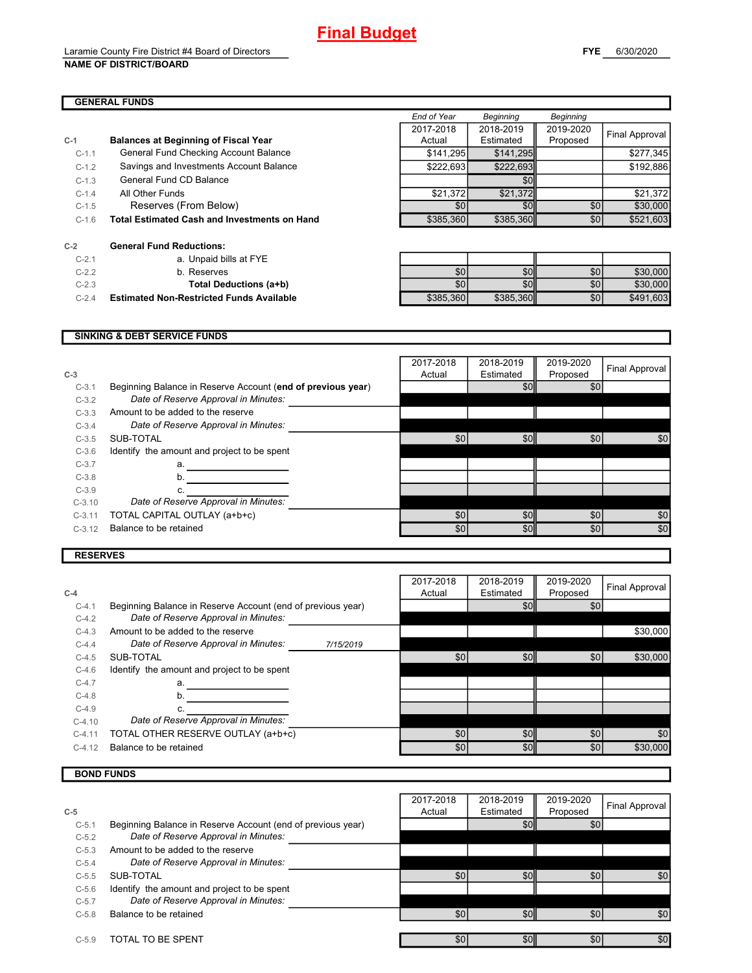#### **GENERAL FUNDS**

|         |                                                     | End of Year      | <b>Beginning</b> | <b>Beginning</b> |                |
|---------|-----------------------------------------------------|------------------|------------------|------------------|----------------|
|         |                                                     | 2017-2018        | 2018-2019        | 2019-2020        | Final Approval |
| $C-1$   | <b>Balances at Beginning of Fiscal Year</b>         | Actual           | Estimated        | Proposed         |                |
| $C-1.1$ | General Fund Checking Account Balance               | \$141,295        | \$141,295        |                  | \$277,345      |
| $C-1.2$ | Savings and Investments Account Balance             | \$222,693        | \$222,693        |                  | \$192,886      |
| $C-1.3$ | General Fund CD Balance                             |                  | \$0              |                  |                |
| $C-1.4$ | All Other Funds                                     | \$21,372         | \$21,372         |                  | \$21,372       |
| $C-1.5$ | Reserves (From Below)                               | \$0              | \$0              | \$0              | \$30,000       |
| $C-1.6$ | <b>Total Estimated Cash and Investments on Hand</b> | \$385,360        | \$385,360        | \$0              | \$521,603      |
| $C-2$   | <b>General Fund Reductions:</b>                     |                  |                  |                  |                |
| $C-2.1$ | a. Unpaid bills at FYE                              |                  |                  |                  |                |
| $C-2.2$ | b. Reserves                                         | \$0 <sub>1</sub> | \$0              | \$0              | \$30,000       |
| $C-2.3$ | Total Deductions (a+b)                              | \$0 <sub>1</sub> | \$0              | \$0              | \$30,000       |
| $C-2.4$ | <b>Estimated Non-Restricted Funds Available</b>     | \$385,360        | \$385,360        | \$0              | \$491.603      |

#### **SINKING & DEBT SERVICE FUNDS**

| $C-3$    |                                                             | 2017-2018<br>Actual | 2018-2019<br>Estimated | 2019-2020<br>Proposed | Final Approval |
|----------|-------------------------------------------------------------|---------------------|------------------------|-----------------------|----------------|
| $C-3.1$  | Beginning Balance in Reserve Account (end of previous year) |                     | \$0                    | \$0                   |                |
| $C-3.2$  | Date of Reserve Approval in Minutes:                        |                     |                        |                       |                |
| $C-3.3$  | Amount to be added to the reserve                           |                     |                        |                       |                |
| $C-3.4$  | Date of Reserve Approval in Minutes:                        |                     |                        |                       |                |
| $C-3.5$  | SUB-TOTAL                                                   | \$0                 | \$0                    | \$0                   | \$0            |
| $C-3.6$  | Identify the amount and project to be spent                 |                     |                        |                       |                |
| $C-3.7$  | a.                                                          |                     |                        |                       |                |
| $C-3.8$  | b.                                                          |                     |                        |                       |                |
| $C-3.9$  |                                                             |                     |                        |                       |                |
| $C-3.10$ | Date of Reserve Approval in Minutes:                        |                     |                        |                       |                |
| $C-3.11$ | TOTAL CAPITAL OUTLAY (a+b+c)                                | \$0                 | \$0                    | \$0                   | \$0            |
| $C-3.12$ | Balance to be retained                                      | \$0                 | \$0                    | \$0                   | \$0            |
|          |                                                             |                     |                        |                       |                |

#### **RESERVES**

| $C-4$    |                                                             |           | 2017-2018<br>Actual | 2018-2019<br>Estimated | 2019-2020<br>Proposed | Final Approval |
|----------|-------------------------------------------------------------|-----------|---------------------|------------------------|-----------------------|----------------|
| $C-4.1$  | Beginning Balance in Reserve Account (end of previous year) |           |                     | \$0                    | \$0                   |                |
| $C-4.2$  | Date of Reserve Approval in Minutes:                        |           |                     |                        |                       |                |
| $C-4.3$  | Amount to be added to the reserve                           |           |                     |                        |                       | \$30,000       |
| $C-4.4$  | Date of Reserve Approval in Minutes:                        | 7/15/2019 |                     |                        |                       |                |
| $C-4.5$  | SUB-TOTAL                                                   |           | \$0 <sub>1</sub>    | \$0                    | \$0                   | \$30,000       |
| $C-4.6$  | Identify the amount and project to be spent                 |           |                     |                        |                       |                |
| $C-4.7$  | a.                                                          |           |                     |                        |                       |                |
| $C-4.8$  | b.                                                          |           |                     |                        |                       |                |
| $C-4.9$  |                                                             |           |                     |                        |                       |                |
| $C-4.10$ | Date of Reserve Approval in Minutes:                        |           |                     |                        |                       |                |
| $C-4.11$ | TOTAL OTHER RESERVE OUTLAY (a+b+c)                          |           | \$0 <sub>1</sub>    | \$0                    | \$0                   | \$0            |
| $C-4.12$ | Balance to be retained                                      |           | \$0 <sub>1</sub>    | \$0                    | \$0                   | \$30,000       |

# **BOND FUNDS**

|         |                                                             | 2017-2018 | 2018-2019 | 2019-2020        | Final Approval |
|---------|-------------------------------------------------------------|-----------|-----------|------------------|----------------|
| $C-5$   |                                                             | Actual    | Estimated | Proposed         |                |
| $C-5.1$ | Beginning Balance in Reserve Account (end of previous year) |           | \$0       | \$0              |                |
| $C-5.2$ | Date of Reserve Approval in Minutes:                        |           |           |                  |                |
| $C-5.3$ | Amount to be added to the reserve                           |           |           |                  |                |
| $C-5.4$ | Date of Reserve Approval in Minutes:                        |           |           |                  |                |
| $C-5.5$ | SUB-TOTAL                                                   | \$0       | \$0       | \$0              | \$0            |
| $C-5.6$ | Identify the amount and project to be spent                 |           |           |                  |                |
| $C-5.7$ | Date of Reserve Approval in Minutes:                        |           |           |                  |                |
| $C-5.8$ | Balance to be retained                                      | \$0       | \$0       | \$0 <sub>1</sub> | \$0            |
|         |                                                             |           |           |                  |                |
| $C-5.9$ | TOTAL TO BE SPENT                                           | \$0       | \$0       | \$0              | \$0            |